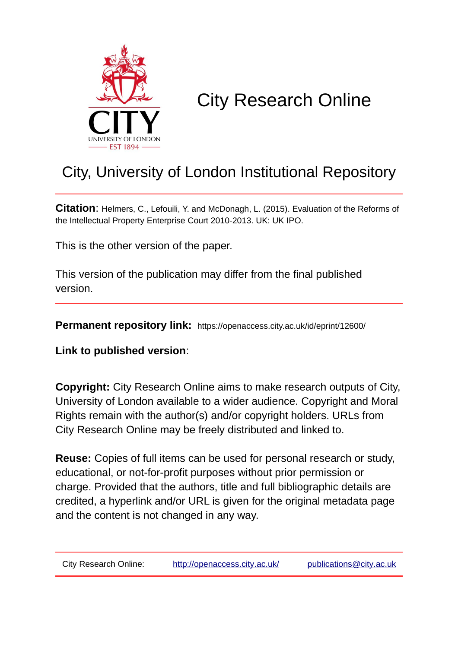

# City Research Online

## City, University of London Institutional Repository

**Citation**: Helmers, C., Lefouili, Y. and McDonagh, L. (2015). Evaluation of the Reforms of the Intellectual Property Enterprise Court 2010-2013. UK: UK IPO.

This is the other version of the paper.

This version of the publication may differ from the final published version.

**Permanent repository link:** https://openaccess.city.ac.uk/id/eprint/12600/

**Link to published version**:

**Copyright:** City Research Online aims to make research outputs of City, University of London available to a wider audience. Copyright and Moral Rights remain with the author(s) and/or copyright holders. URLs from City Research Online may be freely distributed and linked to.

**Reuse:** Copies of full items can be used for personal research or study, educational, or not-for-profit purposes without prior permission or charge. Provided that the authors, title and full bibliographic details are credited, a hyperlink and/or URL is given for the original metadata page and the content is not changed in any way.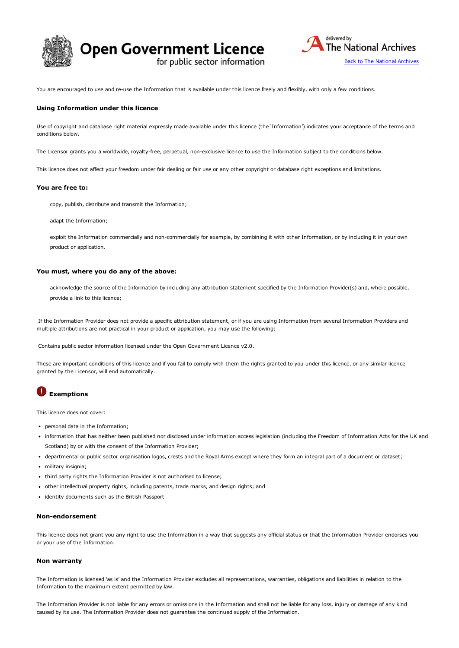





You are encouraged to use and re-use the Information that is available under this licence freely and flexibly, with only a few conditions.

#### Using Information under this licence

Use of copyright and database right material expressly made available under this licence (the 'Information') indicates your acceptance of the terms and conditions below.

The Licensor grants you a worldwide, royalty-free, perpetual, non-exclusive licence to use the Information subject to the conditions below.

This licence does not affect your freedom under fair dealing or fair use or any other copyright or database right exceptions and limitations.

#### You are free to:

copy, publish, distribute and transmit the Information;

adapt the Information;

exploit the Information commercially and non-commercially for example, by combining it with other Information, or by including it in your own product or application.

#### You must, where you do any of the above:

acknowledge the source of the Information by including any attribution statement specified by the Information Provider(s) and, where possible, provide a link to this licence;

If the Information Provider does not provide a specific attribution statement, or if you are using Information from several Information Providers and multiple attributions are not practical in your product or application, you may use the following:

Contains public sector information licensed under the Open Government Licence v2.0.

These are important conditions of this licence and if you fail to comply with them the rights granted to you under this licence, or any similar licence granted by the Licensor, will end automatically.

### **Exemptions**

This licence does not cover:

- personal data in the Information;
- information that has neither been published nor disclosed under information access legislation (including the Freedom of Information Acts for the UK and Scotland) by or with the consent of the Information Provider;
- departmental or public sector organisation logos, crests and the Royal Arms except where they form an integral part of a document or dataset;
- military insignia;
- third party rights the Information Provider is not authorised to license;
- other intellectual property rights, including patents, trade marks, and design rights; and
- identity documents such as the British Passport

#### Non-endorsement

This licence does not grant you any right to use the Information in a way that suggests any official status or that the Information Provider endorses you or your use of the Information.

#### Non warranty

The Information is licensed 'as is' and the Information Provider excludes all representations, warranties, obligations and liabilities in relation to the Information to the maximum extent permitted by law.

The Information Provider is not liable for any errors or omissions in the Information and shall not be liable for any loss, injury or damage of any kind caused by its use. The Information Provider does not guarantee the continued supply of the Information.